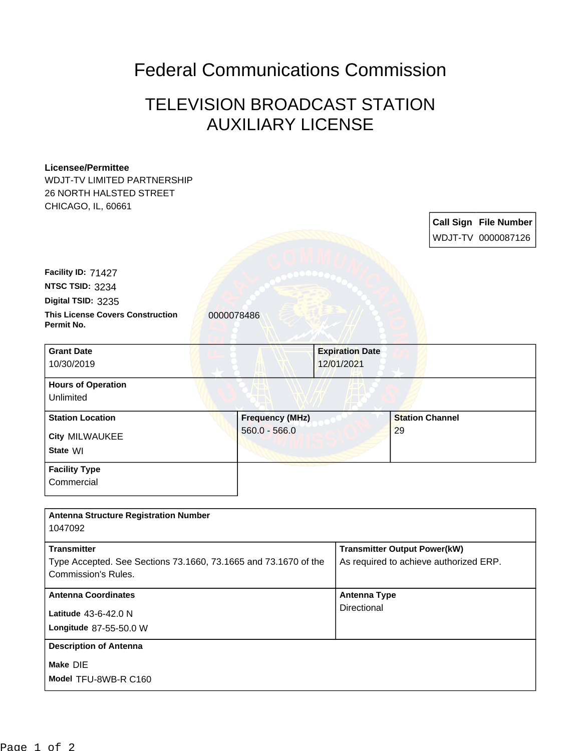## Federal Communications Commission

## TELEVISION BROADCAST STATION AUXILIARY LICENSE

## **Licensee/Permittee**

WDJT-TV LIMITED PARTNERSHIP 26 NORTH HALSTED STREET CHICAGO, IL, 60661

> **Call Sign File Number** WDJT-TV 0000087126

**This License Covers Construction** 0000078486 **Permit No. Digital TSID:** 3235 **NTSC TSID:** 3234 **Facility ID:** 71427

| <b>Grant Date</b>                      | <b>Expiration Date</b> |                        |
|----------------------------------------|------------------------|------------------------|
| 10/30/2019                             | 12/01/2021             |                        |
| <b>Hours of Operation</b><br>Unlimited |                        |                        |
| <b>Station Location</b>                | <b>Frequency (MHz)</b> | <b>Station Channel</b> |
| <b>City MILWAUKEE</b><br>State WI      | $560.0 - 566.0$        | 29                     |
| <b>Facility Type</b>                   |                        |                        |

**Commercial** 

| <b>Antenna Structure Registration Number</b><br>1047092                                                      |                                                                               |
|--------------------------------------------------------------------------------------------------------------|-------------------------------------------------------------------------------|
| <b>Transmitter</b><br>Type Accepted. See Sections 73.1660, 73.1665 and 73.1670 of the<br>Commission's Rules. | <b>Transmitter Output Power(kW)</b><br>As required to achieve authorized ERP. |
| <b>Antenna Coordinates</b><br>Latitude $43-6-42.0$ N<br>Longitude 87-55-50.0 W                               | <b>Antenna Type</b><br>Directional                                            |
| <b>Description of Antenna</b><br>Make DIE<br>Model TFU-8WB-R C160                                            |                                                                               |